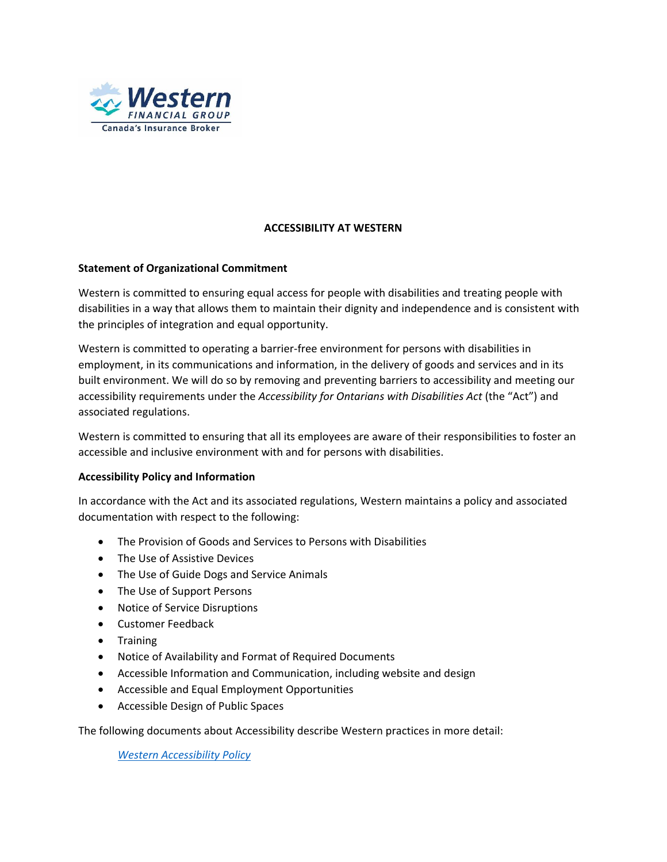

# **ACCESSIBILITY AT WESTERN**

## **Statement of Organizational Commitment**

Western is committed to ensuring equal access for people with disabilities and treating people with disabilities in a way that allows them to maintain their dignity and independence and is consistent with the principles of integration and equal opportunity.

Western is committed to operating a barrier-free environment for persons with disabilities in employment, in its communications and information, in the delivery of goods and services and in its built environment. We will do so by removing and preventing barriers to accessibility and meeting our accessibility requirements under the *Accessibility for Ontarians with Disabilities Act* (the "Act") and associated regulations.

Western is committed to ensuring that all its employees are aware of their responsibilities to foster an accessible and inclusive environment with and for persons with disabilities.

#### **Accessibility Policy and Information**

In accordance with the Act and its associated regulations, Western maintains a policy and associated documentation with respect to the following:

- The Provision of Goods and Services to Persons with Disabilities
- The Use of Assistive Devices
- The Use of Guide Dogs and Service Animals
- The Use of Support Persons
- Notice of Service Disruptions
- Customer Feedback
- Training
- Notice of Availability and Format of Required Documents
- Accessible Information and Communication, including website and design
- Accessible and Equal Employment Opportunities
- Accessible Design of Public Spaces

The following documents about Accessibility describe Western practices in more detail:

*Western [Accessibility Policy](https://westernfinancialgroup.ca/Accessibility-Guidelines)*